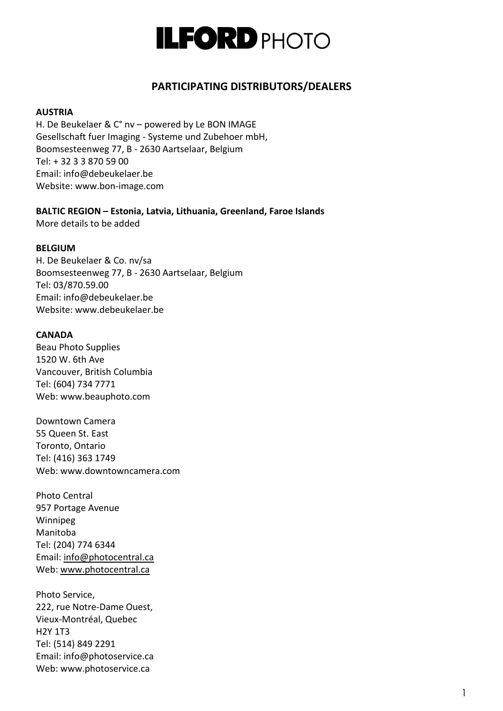## **PARTICIPATING DISTRIBUTORS/DEALERS**

#### **AUSTRIA**

H. De Beukelaer & C° nv – powered by Le BON IMAGE Gesellschaft fuer Imaging - Systeme und Zubehoer mbH, Boomsesteenweg 77, B - 2630 Aartselaar, Belgium Tel: + 32 3 3 870 59 00 Email: info@debeukelaer.be Website: [www.bon-image.com](http://www.bon-image.com/)

**BALTIC REGION – Estonia, Latvia, Lithuania, Greenland, Faroe Islands** More details to be added

#### **BELGIUM**

H. De Beukelaer & Co. nv/sa Boomsesteenweg 77, B - 2630 Aartselaar, Belgium Tel: 03/870.59.00 Email: info@debeukelaer.be Website: [www.debeukelaer.be](http://www.debeukelaer.be/)

#### **CANADA**

Beau Photo Supplies 1520 W. 6th Ave Vancouver, British Columbia Tel: (604) 734 7771 Web: [www.beauphoto.com](http://www.beauphoto.com/)

Downtown Camera 55 Queen St. East Toronto, Ontario Tel: (416) 363 1749 Web: [www.downtowncamera.com](http://www.downtowncamera.com/)

Photo Central 957 Portage Avenue Winnipeg Manitoba Tel: (204) 774 6344 Email: [info@photocentral.ca](mailto:info@photocentral.ca) Web: [www.photocentral.ca](http://www.photocentral.ca/)

Photo Service, 222, rue Notre-Dame Ouest, Vieux-Montréal, Quebec H2Y 1T3 Tel: (514) 849 2291 Email: info@photoservice.ca Web: [www.photoservice.ca](http://www.photoservice.ca/)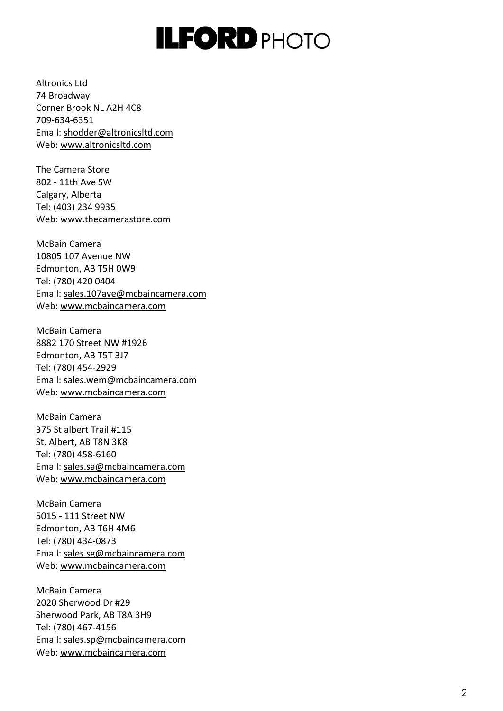Altronics Ltd 74 Broadway Corner Brook NL A2H 4C8 709 -634 -6351 Email: [shodder@altronicsltd.com](mailto:shodder@altronicsltd.com) Web: <u>[www.altronicsltd.com](http://www.altronicsltd.com/)</u>

The Camera Store 802 - 11th Ave SW Calgary, Alberta Tel: (403) 234 9935 Web: [www.thecamerastore.com](http://www.thecamerastore.com/)

McBain Camera 10805 107 Avenue N W Edmonton, AB T5H 0W9 Tel: (780 ) 420 040 4 Email: [sales.107ave@mcbaincamera.com](mailto:sales.107ave@mcbaincamera.com) Web: [www.mcbaincamera.com](http://www.mcbaincamera.com/)

McBain Camera 8882 170 Street NW #192 6 Edmonton, AB T5T 3J7 Tel: (780) 454 -292 9 Email: sales.wem@mcbaincamera.com Web: [www.mcbaincamera.com](http://www.mcbaincamera.com/)

McBain Camera 375 St albert Trail #115 St. Albert, AB T8N 3K8 Tel: (780) 458 -616 0 Email: [sales.sa@mcbaincamera.com](mailto:sales.sa@mcbaincamera.com) Web: [www.mcbaincamera.com](http://www.mcbaincamera.com/)

McBain Camera 5015 - 111 Street N W Edmonton, AB T6H 4M6 Tel: (780) 434 -087 3 Email: [sales.sg@mcbaincamera.com](mailto:sales.sg@mcbaincamera.com) Web: [www.mcbaincamera.com](http://www.mcbaincamera.com/)

McBain Camera 2020 Sherwood Dr #29 Sherwood Park, AB T8A 3H9 Tel: (780) 467 -415 6 Email: sales.sp@mcbaincamera.com Web: [www.mcbaincamera.com](http://www.mcbaincamera.com/)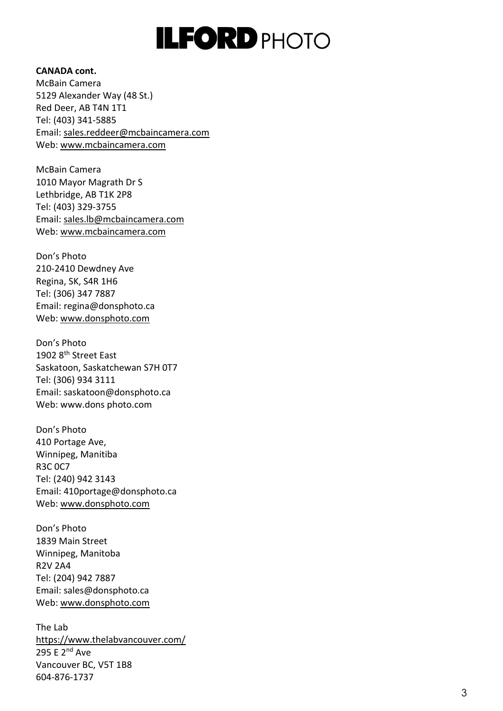

**CANADA cont .**

McBain Camera 5129 Alexander Way (48 St. ) Red Deer, AB T4N 1T1 Tel: (403) 341 -588 5 Email: [sales.reddeer@mcbaincamera.com](mailto:sales.reddeer@mcbaincamera.com) Web: [www.mcbaincamera.com](http://www.mcbaincamera.com/)

McBain Camera 1010 Mayor Magrath Dr S Lethbridge, AB T1K 2P8 Tel: (403) 329 -375 5 Email: [sales.lb@mcbaincamera.com](mailto:sales.lb@mcbaincamera.com) Web: [www.mcbaincamera.com](http://www.mcbaincamera.com/)

Don 's Photo 210 -2410 Dewdney Av e Regina, SK, S4R 1H 6 Tel: (306) 347 7887 Email: regina@donsphoto.ca Web: [www.donsphoto.com](http://www.donsphoto.com/)

Don 's Photo 1902 8<sup>th</sup> Street East Saskatoon, Saskatchewan S7H 0T7 Tel: (306) 934 3111 Email: saskatoon@donsphoto.ca Web: www.dons photo.co m

Don 's Photo 410 Portage Ave, Winnipeg, Manitiba R3C 0C7 Tel: (240) 942 3143 Email: 410portage@donsphoto.ca Web: [www.donsphoto.com](http://www.donsphoto.com/)

Don 's Photo 1839 Main Street Winnipeg, Manitoba R2V 2A4 Tel: (204) 942 7887 Email: sales@donsphoto.ca Web: [www.donsphoto.com](http://www.donsphoto.com/)

The Lab <https://www.thelabvancouver.com/> 295 E 2nd Ave Vancouver BC, V5T 1B8 604 -876 -1737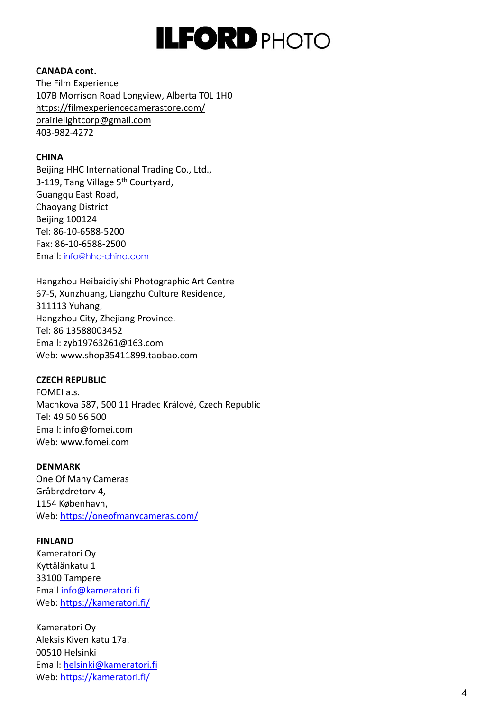### **CANADA cont .**

The Film Experience 107B Morrison Road Longview, Alberta T0L 1H0 <https://filmexperiencecamerastore.com/> [prairielightcorp@gmail.com](mailto:prairielightcorp@gmail.com) 403 -982 -4272

#### **CHINA**

Beijing HHC International Trading Co., Ltd., 3-119, Tang Village 5<sup>th</sup> Courtyard, Guangqu East Road, Chaoyang District Beijing 100124 Tel: 86 -10 -6588 -5200 Fax: 8 6 -10 -6588 -2500 Email: info@hhc[-china.com](mailto:info@hhc-china.com)

Hangzhou Heibaidiyishi Photographic Art Centre 67 -5, Xunzhuang, Liangzhu Cul ture Residence, 311113 Yuhang, Hangzhou City, Zhejiang Province. Tel: 86 13588003452 Email: [zyb19763261@163.com](mailto:zyb19763261@163.com) Web: [www.shop35411899.taobao.com](http://www.shop35411899.taobao.com/)

## **CZECH REPUBLI C**

FOMEI a.s. Machkova 587, 500 11 Hradec Králové, Czech Republic Tel: 49 50 56 500 Email: info@fomei.com Web: [www.fomei.com](http://www.fomei.com/)

#### **DENMARK**

One Of Many Cameras Gråbrødretorv 4, 1154 København, Web:<https://oneofmanycameras.com/>

## **F INLAND**

Kameratori Oy Kyttälänkatu 1 33100 Tampere Email [info@kameratori.fi](mailto:info@kameratori.fi) Web:<https://kameratori.fi/>

Kameratori O y Aleksis Kiven katu 17a. 00510 Helsinki Email: [helsinki@kameratori.fi](mailto:helsinki@kameratori.fi) Web: <https://kameratori.fi/>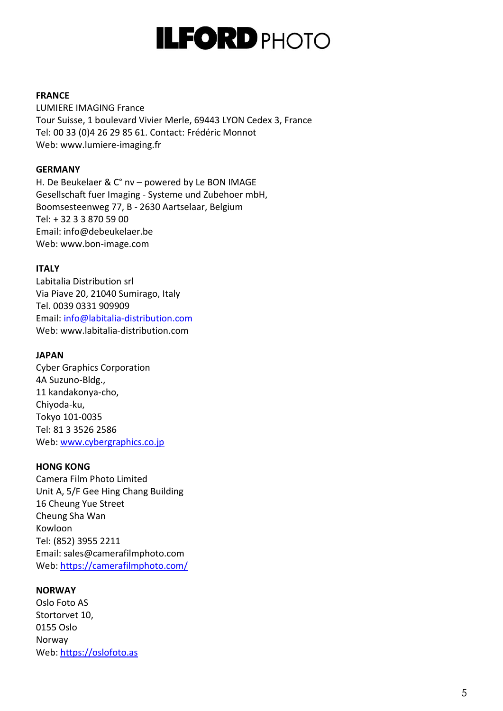#### **FRANCE**

LUMIERE IMAGING France Tour Suisse, 1 boulevard Vivier Merle, 69443 LYON Cedex 3, France Tel: 00 33 (0)4 26 29 85 61. Contact: Frédéric Monnot Web: [www.lumiere-imaging.fr](http://www.lumiere-imaging.fr/)

#### **GERMANY**

H. De Beukelaer & C° nv – powered by Le BON IMAGE Gesellschaft fuer Imaging - Systeme und Zubehoer mbH, Boomsesteenweg 77, B - 2630 Aartselaar, Belgium Tel: + 32 3 3 870 59 00 Email: info@debeukelaer.be Web: [www.bon-image.com](http://www.bon-image.com/)

#### **ITALY**

Labitalia Distribution srl Via Piave 20, 21040 Sumirago, Italy Tel. 0039 0331 909909 Email: [info@labitalia-distribution.com](mailto:info@labitalia-distribution.com) Web: www.labitalia-distribution.com

#### **JAPAN**

Cyber Graphics Corporation 4A Suzuno-Bldg., 11 kandakonya-cho, Chiyoda-ku, Tokyo 101-0035 Tel: 81 3 3526 2586 Web: [www.cybergraphics.co.jp](../ULF%202019/www.cybergraphics.co.jp)

#### **HONG KONG**

Camera Film Photo Limited Unit A, 5/F Gee Hing Chang Building 16 Cheung Yue Street Cheung Sha Wan Kowloon Tel: (852) 3955 2211 Email: sales@camerafilmphoto.com Web:<https://camerafilmphoto.com/>

#### **NORWAY**

Oslo Foto AS Stortorvet 10, 0155 Oslo Norway Web: [https://oslofoto.as](https://oslofoto.as/)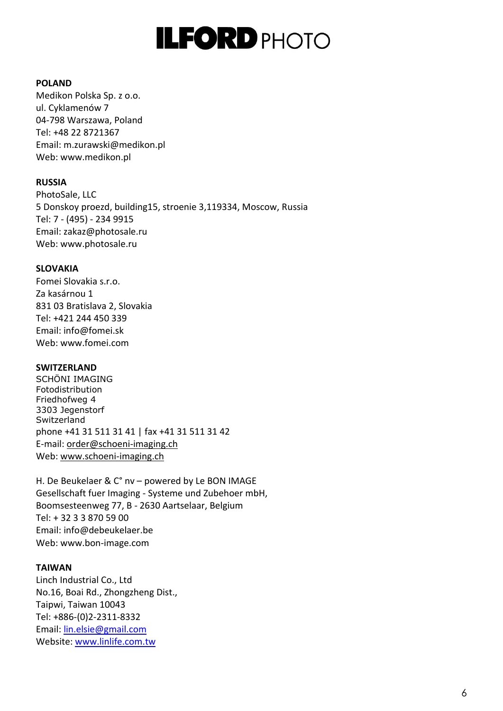#### **POLAND**

Medikon Polska Sp. z o.o. ul. Cyklamenów 7 04-798 Warszawa, Poland Tel: +48 22 8721367 Email: m.zurawski@medikon.pl Web: [www.medikon.pl](http://www.medikon.pl/)

### **RUSSIA**

PhotoSale, LLC 5 Donskoy proezd, building15, stroenie 3,119334, Moscow, Russia Tel: 7 - (495) - 234 9915 Email: [zakaz@photosale.ru](mailto:info@photosale.ru) Web: www.photosale.ru

#### **SLOVAKIA**

Fomei Slovakia s.r.o. Za kasárnou 1 831 03 Bratislava 2, Slovakia Tel: +421 244 450 339 Email: info@fomei.sk Web: www.fomei.com

#### **SWITZERLAND**

SCHÖNI IMAGING Fotodistribution Friedhofweg 4 3303 Jegenstorf Switzerland phone +41 31 511 31 41 | fax +41 31 511 31 42 E-mail: [order@schoeni-imaging.ch](mailto:order@schoeni-imaging.ch) Web: [www.schoeni-imaging.ch](http://www.schoeni-imaging.ch/)

H. De Beukelaer & C° nv – powered by Le BON IMAGE Gesellschaft fuer Imaging - Systeme und Zubehoer mbH, Boomsesteenweg 77, B - 2630 Aartselaar, Belgium Tel: + 32 3 3 870 59 00 Email: info@debeukelaer.be Web: [www.bon-image.com](http://www.bon-image.com/)

#### **TAIWAN**

Linch Industrial Co., Ltd No.16, Boai Rd., Zhongzheng Dist., Taipwi, Taiwan 10043 Tel: +886-(0)2-2311-8332 Email: [lin.elsie@gmail.com](mailto:lin.elsie@gmail.com) Website: [www.linlife.com.tw](http://www.linlife.com.tw/)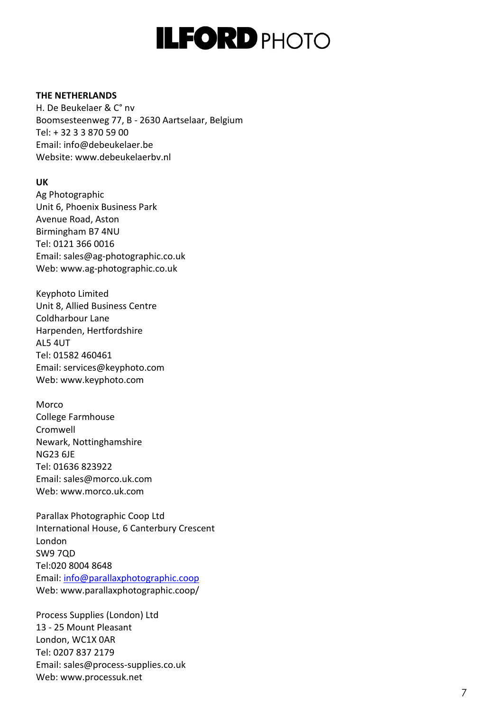#### **THE NETHERLANDS**

H. De Beukelaer & C° nv Boomsesteenweg 77, B - 2630 Aartselaar, Belgiu m Tel: + 32 3 3 870 59 00 Email: info@debeukelaer.be Website: [www.debeukelaerbv.nl](http://www.debeukelaerbv.nl/)

### **UK**

Ag Photographic Unit 6, Phoenix Business Park Avenue Road, Aston Birmingham B7 4N U Tel: 0121 366 0016 Email: sales@ag -photographic.co.uk Web: www.ag [-photographic.co.u](http://www.ag-photographic.co.uk/) k

Keyphoto Limite d Unit 8, Allied Business Centre Coldharbour Lane Harpenden, Hertfordshire AL5 4UT Tel: 01582 460461 Email: services@keyphoto.com Web: [www.keyphoto.com](http://www.keyphoto.com/)

Morco College Farmhouse Cromwell Newark, Nottinghamshire NG23 6JE Tel: 01636 823922 Email: sales@morco.uk.com Web: [www.morco.uk.com](http://www.morco.uk.com/)

Parallax Photographic Coop Ltd International House, 6 Canterbury Crescent London SW9 7QD Tel:020 8004 8648 Email: [info@parallaxphotogr](mailto:info@parallaxphotographic.coop)aphic.coop Web: www.parallaxphotographic.coop/

Process Supplies (London) Ltd 13 - 25 Mount Pleasant London, WC1X 0AR Tel: 0207 837 2179 Email: sales@process -supplies.co.uk Web: [www.processuk.net](http://www.process-uk.net/)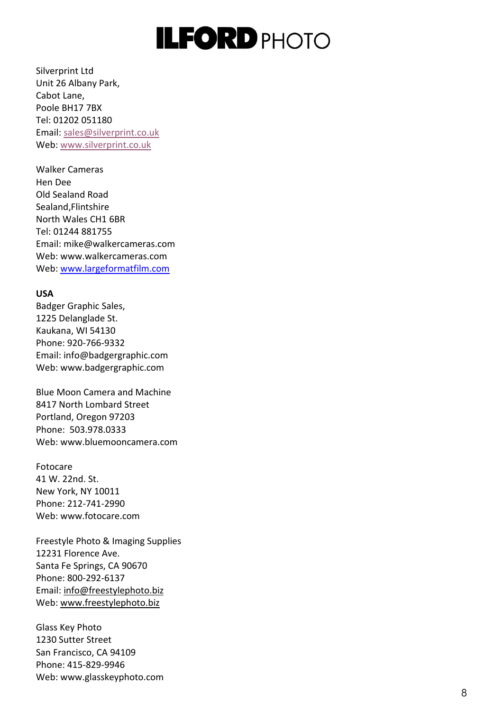Silverprint Ltd Unit 26 Albany Park, Cabot Lane, Poole BH17 7BX Tel: 01202 051180 Email: [sales@silverprint.co.uk](mailto:sales@silverprint.co.uk) Web: [www.silverprint.co.uk](http://www.silverprint.co.uk/)

Walker Cameras Hen Dee Old Sealand Road Sealand ,Flintshire North Wales CH1 6B R Tel: 01244 881755 Email: mike@walkercameras.com Web: [www.walkercameras.com](http://www.walkercameras.com/) Web: [www.largeformatfilm.com](http://www.largeformatfilm.com/)

## **USA**

Badger Graphic Sales , 1225 Delanglade St. Kaukana, WI 54130 Phone: 920 -766 -9332 Email: info@badgergraphic.com Web: [www.badgergraphic.com](http://www.badgergraphic.com/)

Blue Moon Camera and Machine 8417 North Lombard Street Portland, Oregon 97203 Phone: 503.978.0333 Web: [www.bluemooncamera.com](http://www.bluemooncamera.com/)

Fotocare 41 W. 22nd. St. New York, NY 10011 Phone: 212 -741 -2990 Web: [www.fotocare.com](http://www.fotocare.com/)

Freestyle Photo & Imaging Supplies 12231 Florence Ave. Santa Fe Springs, CA 90670 Phone: 800 -292 -6137 Email: [info@freestylephoto.biz](mailto:info@freestylephoto.biz) Web: [www.freestylephoto.biz](http://www.freestylephoto.biz/)

Glass Key Photo 1230 Sutter Street San Francisco, CA 94109 Phone: 415 -829 -99 4 6 Web: [www.glasskeyphoto.com](http://www.glasskeyphoto.com/)